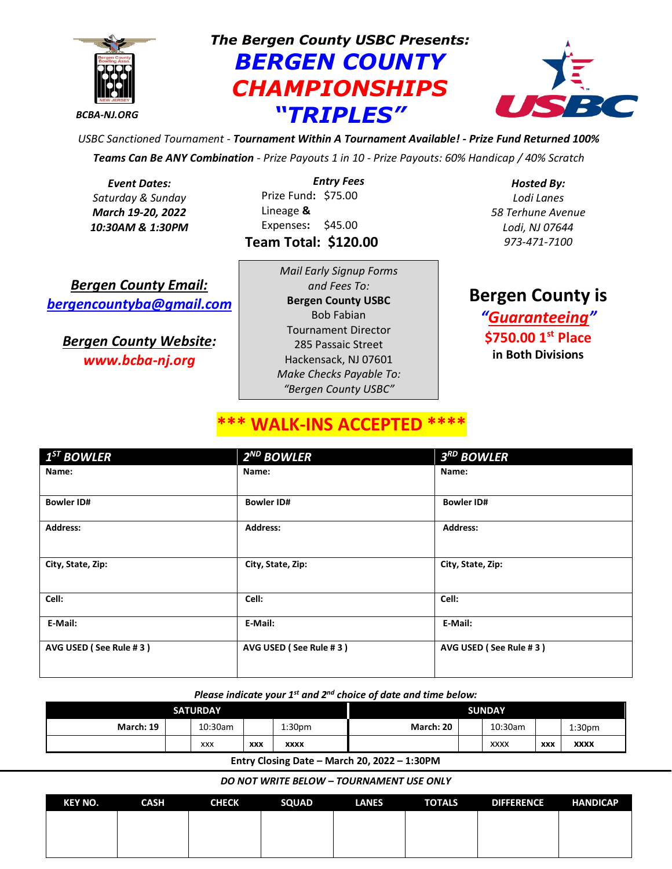

*The Bergen County USBC Presents: BERGEN COUNTY CHAMPIONSHIPS "TRIPLES"*



*USBC Sanctioned Tournament - Tournament Within A Tournament Available! - Prize Fund Returned 100% Teams Can Be ANY Combination - Prize Payouts 1 in 10 - Prize Payouts: 60% Handicap / 40% Scratch*

*Event Dates: Saturday & Sunday March 19-20, 2022 10:30AM & 1:30PM*

*Entry Fees* Prize Fund**:** \$75.00 Lineage **&** Expenses**:** \$45.00 **Team Total: \$120.00**

*Bergen County Email: [bergencountyba@gmail.com](mailto:bergencountyba@gmail.com)*

*Bergen County Website: www.bcba-nj.org*

*Mail Early Signup Forms and Fees To:* **Bergen County USBC**  Bob Fabian Tournament Director 285 Passaic Street Hackensack, NJ 07601 *Make Checks Payable To: "Bergen County USBC"*

*Hosted By: Lodi Lanes 58 Terhune Avenue Lodi, NJ 07644 973-471-7100*

**Bergen County is** *"Guaranteeing"* **\$750.00 1st Place in Both Divisions**

# **WALK-INS ACCEPT**

| $1ST$ BOWLER           | $2^{ND}$ BOWLER        | $3RD$ BOWLER           |
|------------------------|------------------------|------------------------|
| Name:                  | Name:                  | Name:                  |
| <b>Bowler ID#</b>      | <b>Bowler ID#</b>      | <b>Bowler ID#</b>      |
| <b>Address:</b>        | <b>Address:</b>        | <b>Address:</b>        |
| City, State, Zip:      | City, State, Zip:      | City, State, Zip:      |
| Cell:                  | Cell:                  | Cell:                  |
| E-Mail:                | E-Mail:                | E-Mail:                |
| AVG USED (See Rule #3) | AVG USED (See Rule #3) | AVG USED (See Rule #3) |

### *Please indicate your 1st and 2nd choice of date and time below:*

| <b>SATURDAY</b> |            |            |                    | <b>SUNDAY</b> |  |             |            |                    |
|-----------------|------------|------------|--------------------|---------------|--|-------------|------------|--------------------|
| March: 19       | 10:30am    |            | 1:30 <sub>pm</sub> | March: 20     |  | 10:30am     |            | 1:30 <sub>pm</sub> |
|                 | <b>XXX</b> | <b>XXX</b> | <b>XXXX</b>        |               |  | <b>XXXX</b> | <b>XXX</b> | <b>XXXX</b>        |

**Entry Closing Date – March 20, 2022 – 1:30PM**

#### *DO NOT WRITE BELOW – TOURNAMENT USE ONLY*

| KEY NO. | <b>CASH</b> | <b>CHECK</b> | SQUAD | <b>LANES</b> | <b>TOTALS</b> | <b>DIFFERENCE</b> | <b>HANDICAP</b> |
|---------|-------------|--------------|-------|--------------|---------------|-------------------|-----------------|
|         |             |              |       |              |               |                   |                 |
|         |             |              |       |              |               |                   |                 |